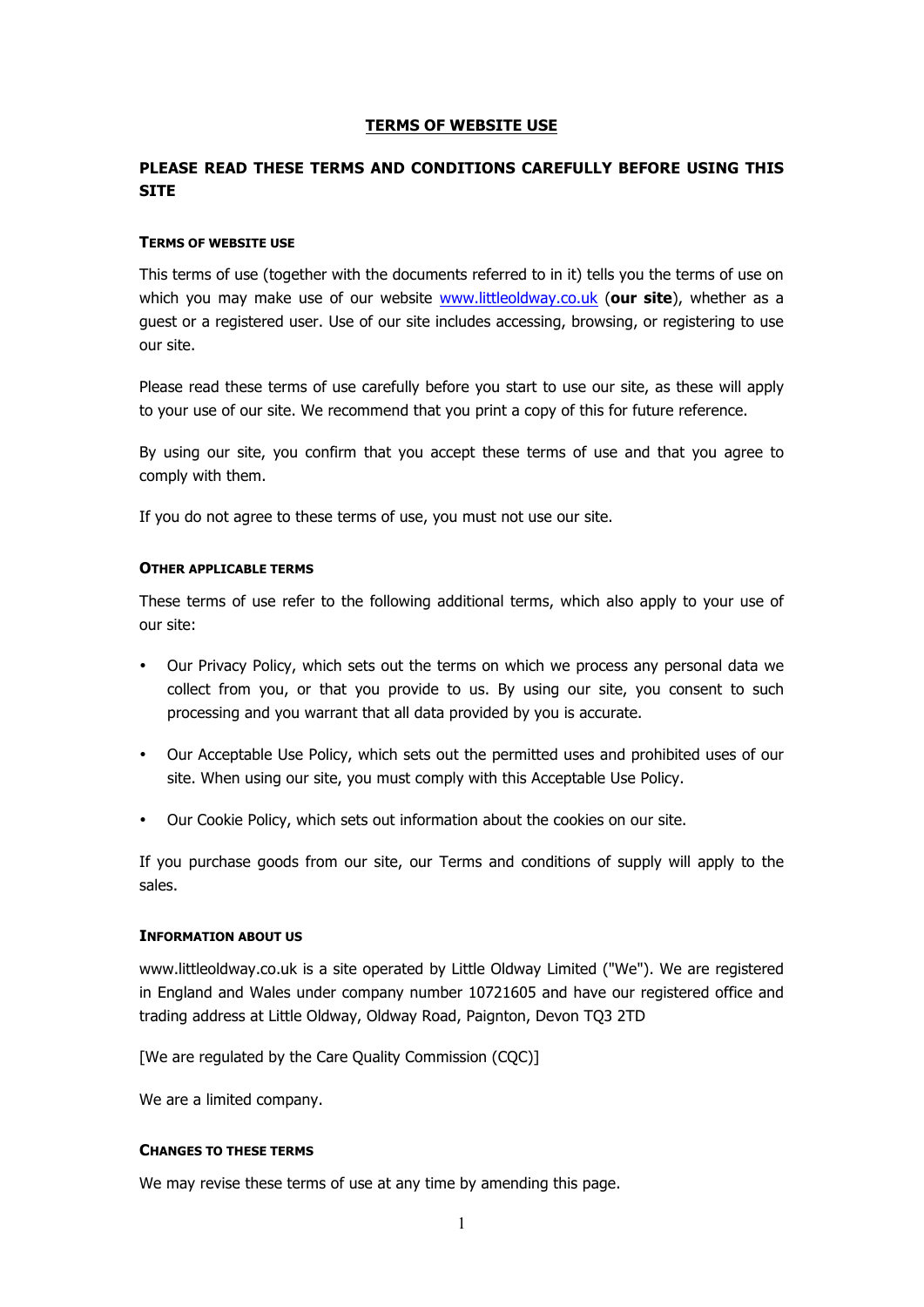## **TERMS OF WEBSITE USE**

# **PLEASE READ THESE TERMS AND CONDITIONS CAREFULLY BEFORE USING THIS SITE**

## **TERMS OF WEBSITE USE**

This terms of use (together with the documents referred to in it) tells you the terms of use on which you may make use of our website www.littleoldway.co.uk (**our site**), whether as a guest or a registered user. Use of our site includes accessing, browsing, or registering to use our site.

Please read these terms of use carefully before you start to use our site, as these will apply to your use of our site. We recommend that you print a copy of this for future reference.

By using our site, you confirm that you accept these terms of use and that you agree to comply with them.

If you do not agree to these terms of use, you must not use our site.

## **OTHER APPLICABLE TERMS**

These terms of use refer to the following additional terms, which also apply to your use of our site:

- Our Privacy Policy, which sets out the terms on which we process any personal data we collect from you, or that you provide to us. By using our site, you consent to such processing and you warrant that all data provided by you is accurate.
- Our Acceptable Use Policy, which sets out the permitted uses and prohibited uses of our site. When using our site, you must comply with this Acceptable Use Policy.
- Our Cookie Policy, which sets out information about the cookies on our site.

If you purchase goods from our site, our Terms and conditions of supply will apply to the sales.

## **INFORMATION ABOUT US**

www.littleoldway.co.uk is a site operated by Little Oldway Limited ("We"). We are registered in England and Wales under company number 10721605 and have our registered office and trading address at Little Oldway, Oldway Road, Paignton, Devon TQ3 2TD

[We are regulated by the Care Quality Commission (CQC)]

We are a limited company.

## **CHANGES TO THESE TERMS**

We may revise these terms of use at any time by amending this page.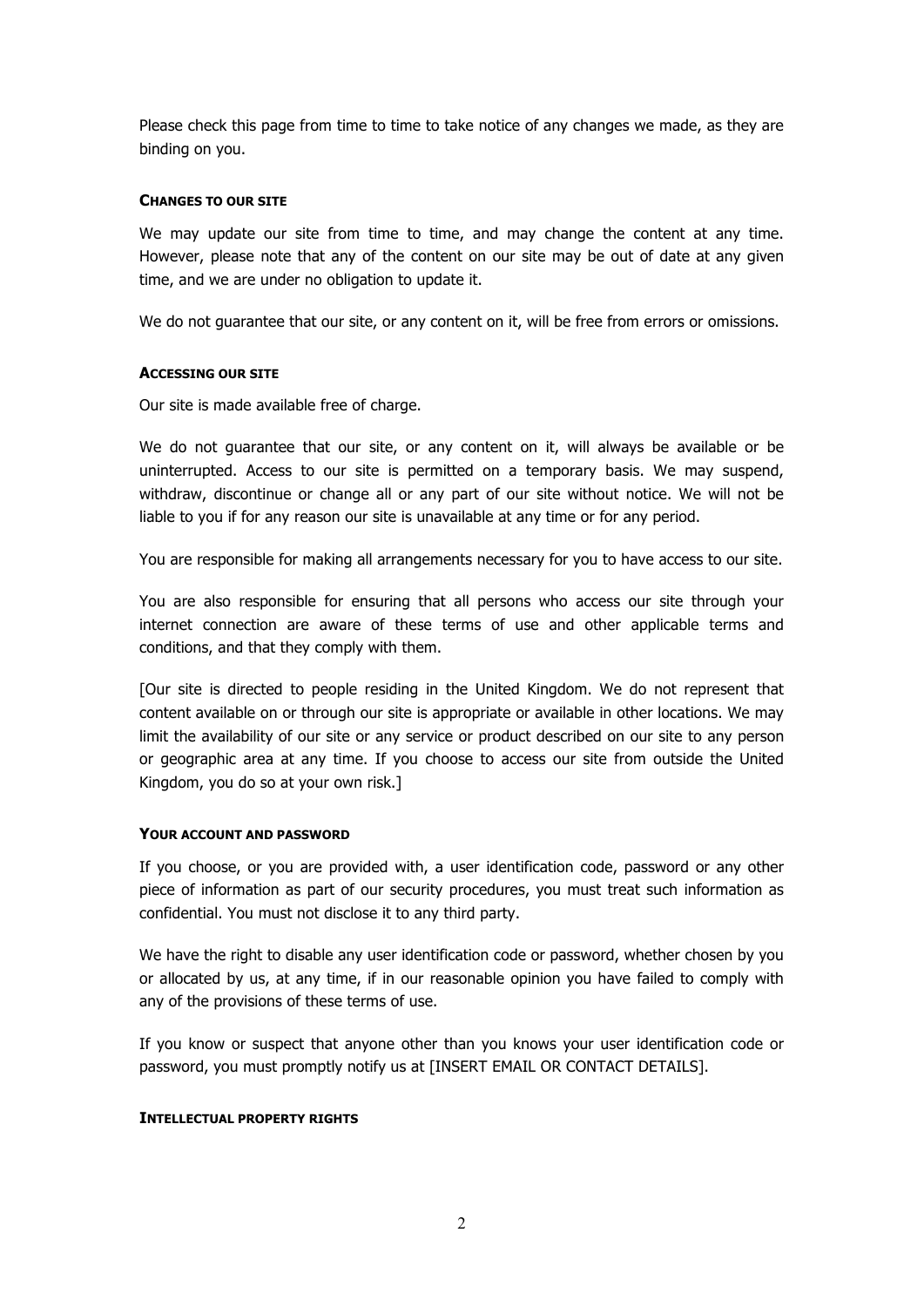Please check this page from time to time to take notice of any changes we made, as they are binding on you.

## **CHANGES TO OUR SITE**

We may update our site from time to time, and may change the content at any time. However, please note that any of the content on our site may be out of date at any given time, and we are under no obligation to update it.

We do not guarantee that our site, or any content on it, will be free from errors or omissions.

# **ACCESSING OUR SITE**

Our site is made available free of charge.

We do not guarantee that our site, or any content on it, will always be available or be uninterrupted. Access to our site is permitted on a temporary basis. We may suspend, withdraw, discontinue or change all or any part of our site without notice. We will not be liable to you if for any reason our site is unavailable at any time or for any period.

You are responsible for making all arrangements necessary for you to have access to our site.

You are also responsible for ensuring that all persons who access our site through your internet connection are aware of these terms of use and other applicable terms and conditions, and that they comply with them.

[Our site is directed to people residing in the United Kingdom. We do not represent that content available on or through our site is appropriate or available in other locations. We may limit the availability of our site or any service or product described on our site to any person or geographic area at any time. If you choose to access our site from outside the United Kingdom, you do so at your own risk.]

## **YOUR ACCOUNT AND PASSWORD**

If you choose, or you are provided with, a user identification code, password or any other piece of information as part of our security procedures, you must treat such information as confidential. You must not disclose it to any third party.

We have the right to disable any user identification code or password, whether chosen by you or allocated by us, at any time, if in our reasonable opinion you have failed to comply with any of the provisions of these terms of use.

If you know or suspect that anyone other than you knows your user identification code or password, you must promptly notify us at [INSERT EMAIL OR CONTACT DETAILS].

## **INTELLECTUAL PROPERTY RIGHTS**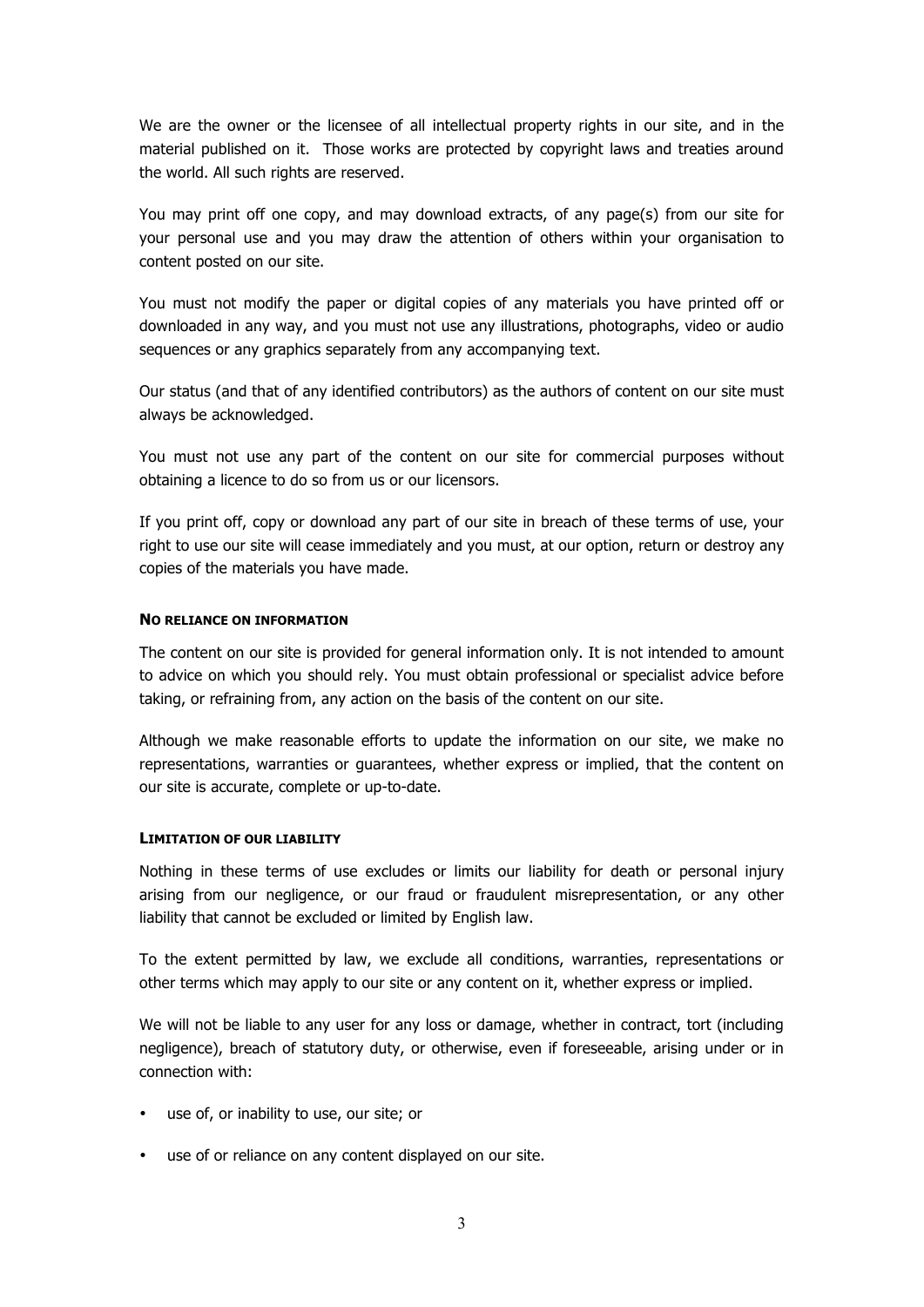We are the owner or the licensee of all intellectual property rights in our site, and in the material published on it. Those works are protected by copyright laws and treaties around the world. All such rights are reserved.

You may print off one copy, and may download extracts, of any page(s) from our site for your personal use and you may draw the attention of others within your organisation to content posted on our site.

You must not modify the paper or digital copies of any materials you have printed off or downloaded in any way, and you must not use any illustrations, photographs, video or audio sequences or any graphics separately from any accompanying text.

Our status (and that of any identified contributors) as the authors of content on our site must always be acknowledged.

You must not use any part of the content on our site for commercial purposes without obtaining a licence to do so from us or our licensors.

If you print off, copy or download any part of our site in breach of these terms of use, your right to use our site will cease immediately and you must, at our option, return or destroy any copies of the materials you have made.

## **NO RELIANCE ON INFORMATION**

The content on our site is provided for general information only. It is not intended to amount to advice on which you should rely. You must obtain professional or specialist advice before taking, or refraining from, any action on the basis of the content on our site.

Although we make reasonable efforts to update the information on our site, we make no representations, warranties or guarantees, whether express or implied, that the content on our site is accurate, complete or up-to-date.

#### **LIMITATION OF OUR LIABILITY**

Nothing in these terms of use excludes or limits our liability for death or personal injury arising from our negligence, or our fraud or fraudulent misrepresentation, or any other liability that cannot be excluded or limited by English law.

To the extent permitted by law, we exclude all conditions, warranties, representations or other terms which may apply to our site or any content on it, whether express or implied.

We will not be liable to any user for any loss or damage, whether in contract, tort (including negligence), breach of statutory duty, or otherwise, even if foreseeable, arising under or in connection with:

- use of, or inability to use, our site; or
- use of or reliance on any content displayed on our site.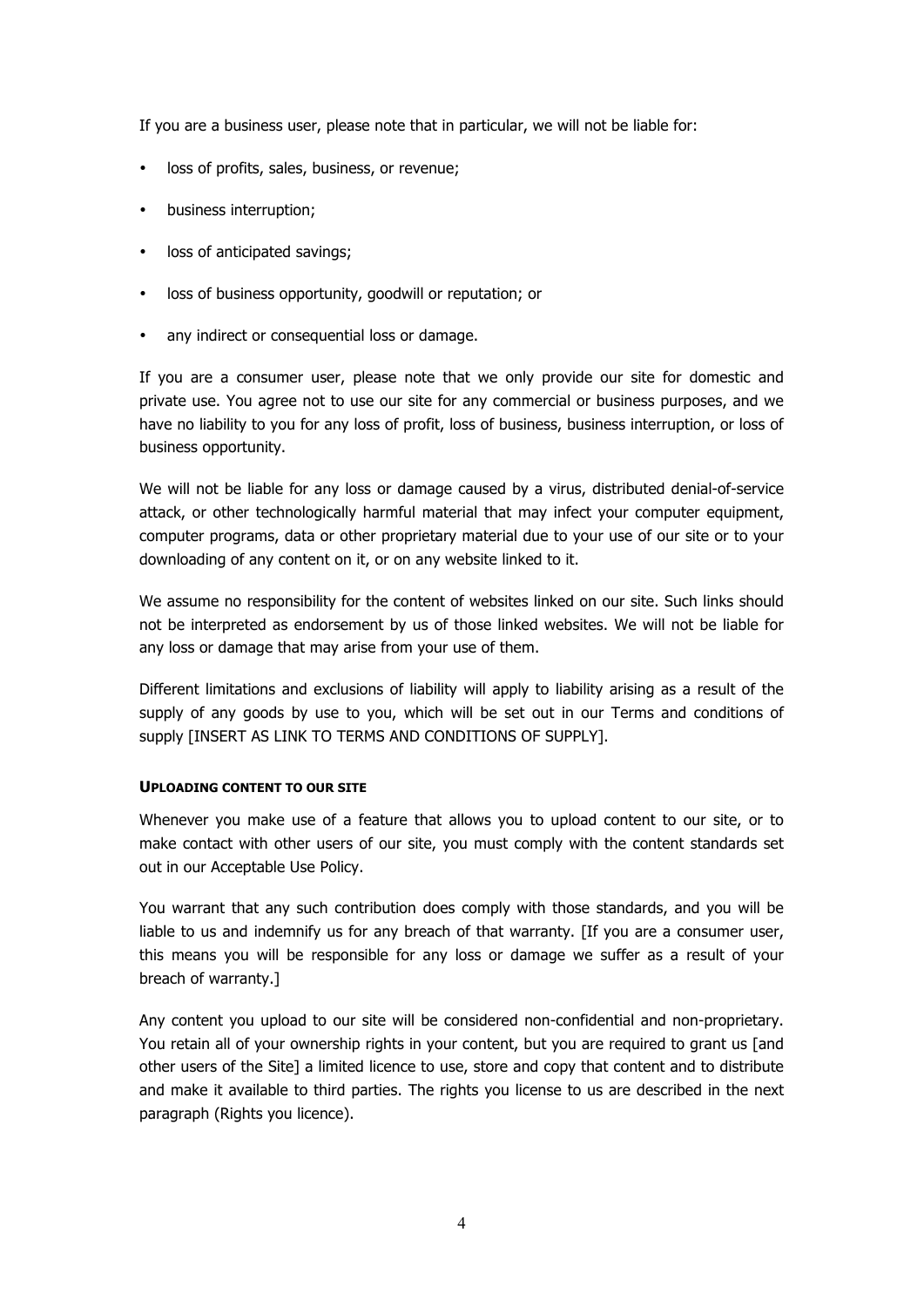If you are a business user, please note that in particular, we will not be liable for:

- loss of profits, sales, business, or revenue;
- business interruption;
- loss of anticipated savings;
- loss of business opportunity, goodwill or reputation; or
- any indirect or consequential loss or damage.

If you are a consumer user, please note that we only provide our site for domestic and private use. You agree not to use our site for any commercial or business purposes, and we have no liability to you for any loss of profit, loss of business, business interruption, or loss of business opportunity.

We will not be liable for any loss or damage caused by a virus, distributed denial-of-service attack, or other technologically harmful material that may infect your computer equipment, computer programs, data or other proprietary material due to your use of our site or to your downloading of any content on it, or on any website linked to it.

We assume no responsibility for the content of websites linked on our site. Such links should not be interpreted as endorsement by us of those linked websites. We will not be liable for any loss or damage that may arise from your use of them.

Different limitations and exclusions of liability will apply to liability arising as a result of the supply of any goods by use to you, which will be set out in our Terms and conditions of supply [INSERT AS LINK TO TERMS AND CONDITIONS OF SUPPLY].

# **UPLOADING CONTENT TO OUR SITE**

Whenever you make use of a feature that allows you to upload content to our site, or to make contact with other users of our site, you must comply with the content standards set out in our Acceptable Use Policy.

You warrant that any such contribution does comply with those standards, and you will be liable to us and indemnify us for any breach of that warranty. [If you are a consumer user, this means you will be responsible for any loss or damage we suffer as a result of your breach of warranty.]

Any content you upload to our site will be considered non-confidential and non-proprietary. You retain all of your ownership rights in your content, but you are required to grant us [and other users of the Site] a limited licence to use, store and copy that content and to distribute and make it available to third parties. The rights you license to us are described in the next paragraph (Rights you licence).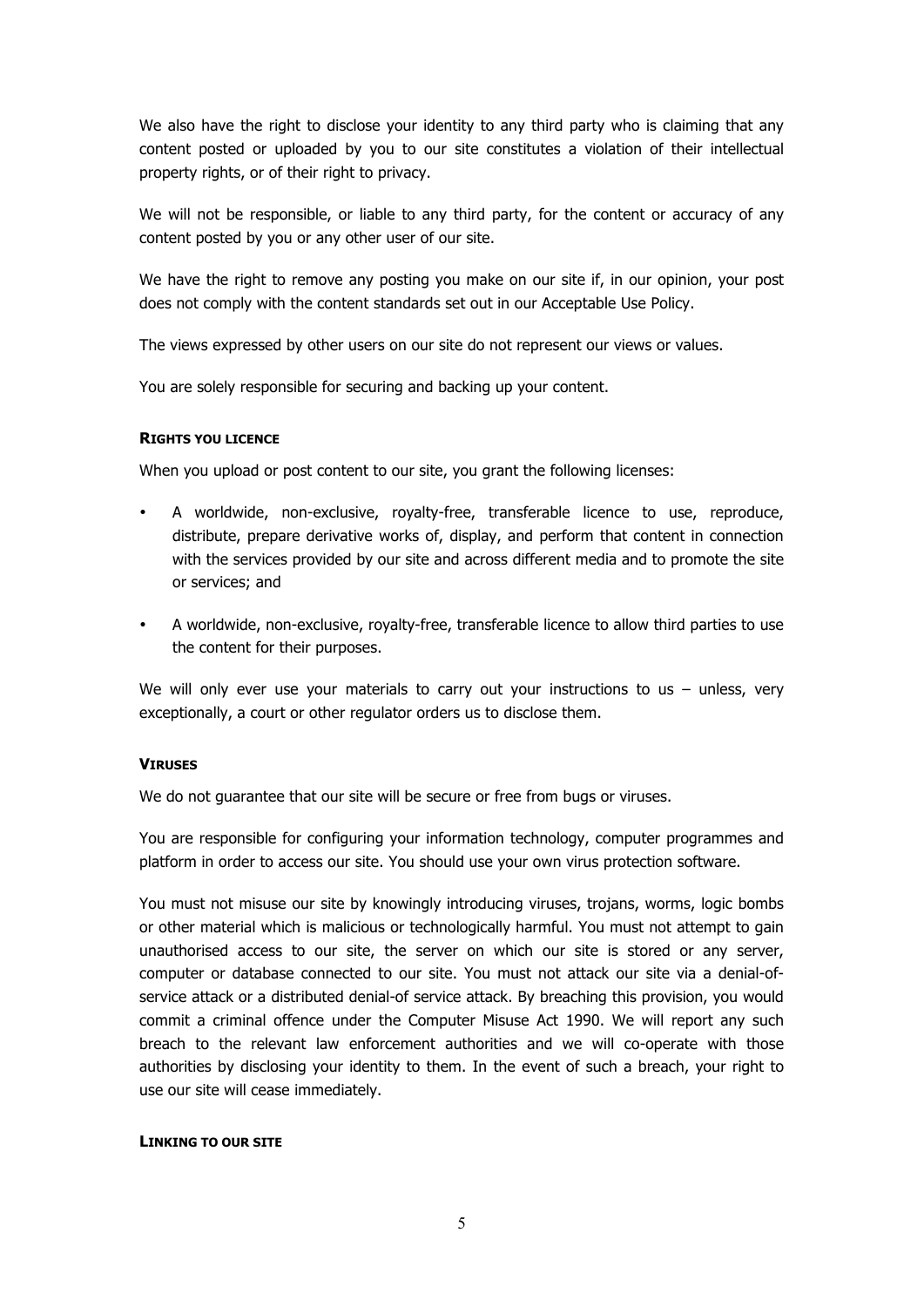We also have the right to disclose your identity to any third party who is claiming that any content posted or uploaded by you to our site constitutes a violation of their intellectual property rights, or of their right to privacy.

We will not be responsible, or liable to any third party, for the content or accuracy of any content posted by you or any other user of our site.

We have the right to remove any posting you make on our site if, in our opinion, your post does not comply with the content standards set out in our Acceptable Use Policy.

The views expressed by other users on our site do not represent our views or values.

You are solely responsible for securing and backing up your content.

## **RIGHTS YOU LICENCE**

When you upload or post content to our site, you grant the following licenses:

- A worldwide, non-exclusive, royalty-free, transferable licence to use, reproduce, distribute, prepare derivative works of, display, and perform that content in connection with the services provided by our site and across different media and to promote the site or services; and
- A worldwide, non-exclusive, royalty-free, transferable licence to allow third parties to use the content for their purposes.

We will only ever use your materials to carry out your instructions to us  $-$  unless, very exceptionally, a court or other regulator orders us to disclose them.

## **VIRUSES**

We do not guarantee that our site will be secure or free from bugs or viruses.

You are responsible for configuring your information technology, computer programmes and platform in order to access our site. You should use your own virus protection software.

You must not misuse our site by knowingly introducing viruses, trojans, worms, logic bombs or other material which is malicious or technologically harmful. You must not attempt to gain unauthorised access to our site, the server on which our site is stored or any server, computer or database connected to our site. You must not attack our site via a denial-ofservice attack or a distributed denial-of service attack. By breaching this provision, you would commit a criminal offence under the Computer Misuse Act 1990. We will report any such breach to the relevant law enforcement authorities and we will co-operate with those authorities by disclosing your identity to them. In the event of such a breach, your right to use our site will cease immediately.

## **LINKING TO OUR SITE**